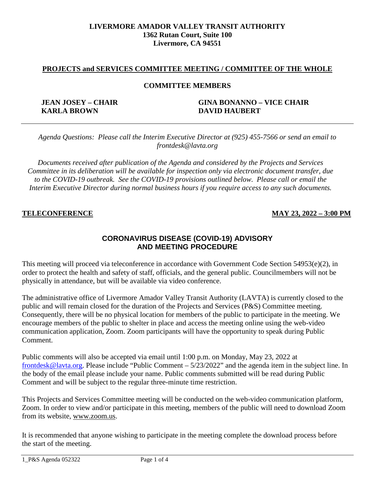#### **LIVERMORE AMADOR VALLEY TRANSIT AUTHORITY 1362 Rutan Court, Suite 100 Livermore, CA 94551**

### **PROJECTS and SERVICES COMMITTEE MEETING / COMMITTEE OF THE WHOLE**

#### **COMMITTEE MEMBERS**

**KARLA BROWN DAVID HAUBERT**

# **JEAN JOSEY – CHAIR GINA BONANNO – VICE CHAIR**

*Agenda Questions: Please call the Interim Executive Director at (925) 455-7566 or send an email to frontdesk@lavta.org*

*Documents received after publication of the Agenda and considered by the Projects and Services Committee in its deliberation will be available for inspection only via electronic document transfer, due to the COVID-19 outbreak. See the COVID-19 provisions outlined below. Please call or email the Interim Executive Director during normal business hours if you require access to any such documents.*

# **TELECONFERENCE MAY 23, 2022 – 3:00 PM**

# **CORONAVIRUS DISEASE (COVID-19) ADVISORY AND MEETING PROCEDURE**

This meeting will proceed via teleconference in accordance with Government Code Section 54953(e)(2), in order to protect the health and safety of staff, officials, and the general public. Councilmembers will not be physically in attendance, but will be available via video conference.

The administrative office of Livermore Amador Valley Transit Authority (LAVTA) is currently closed to the public and will remain closed for the duration of the Projects and Services (P&S) Committee meeting. Consequently, there will be no physical location for members of the public to participate in the meeting. We encourage members of the public to shelter in place and access the meeting online using the web-video communication application, Zoom. Zoom participants will have the opportunity to speak during Public Comment.

Public comments will also be accepted via email until 1:00 p.m. on Monday, May 23, 2022 a[t](mailto:%20frontdesk@lavta.org) [frontdesk@lavta.org.](mailto:%20frontdesk@lavta.org) Please include "Public Comment – 5/23/2022" and the agenda item in the subject line. In the body of the email please include your name. Public comments submitted will be read during Public Comment and will be subject to the regular three-minute time restriction.

This Projects and Services Committee meeting will be conducted on the web-video communication platform, Zoom. In order to view and/or participate in this meeting, members of the public will need to download Zoom from its website, [www.zoom.us.](http://www.zoom.us/)

It is recommended that anyone wishing to participate in the meeting complete the download process before the start of the meeting.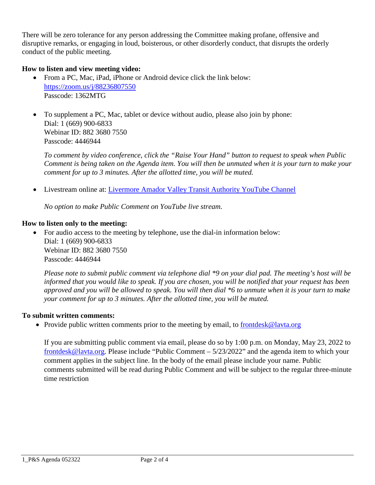There will be zero tolerance for any person addressing the Committee making profane, offensive and disruptive remarks, or engaging in loud, boisterous, or other disorderly conduct, that disrupts the orderly conduct of the public meeting.

# **How to listen and view meeting video:**

- From a PC, Mac, iPad, iPhone or Android device click the link below: <https://zoom.us/j/88236807550> Passcode: 1362MTG
- To supplement a PC, Mac, tablet or device without audio, please also join by phone: Dial: 1 (669) 900-6833 Webinar ID: 882 3680 7550 Passcode: 4446944

*To comment by video conference, click the "Raise Your Hand" button to request to speak when Public Comment is being taken on the Agenda item. You will then be unmuted when it is your turn to make your comment for up to 3 minutes. After the allotted time, you will be muted.* 

• Livestream online at: [Livermore Amador Valley Transit Authority YouTube Channel](https://www.youtube.com/channel/UCRBWx1FANoSjlD0O0atdiPw)

*No option to make Public Comment on YouTube live stream.*

### **How to listen only to the meeting:**

• For audio access to the meeting by telephone, use the dial-in information below: Dial: 1 (669) 900-6833 Webinar ID: 882 3680 7550 Passcode: 4446944

*Please note to submit public comment via telephone dial \*9 on your dial pad. The meeting's host will be informed that you would like to speak. If you are chosen, you will be notified that your request has been approved and you will be allowed to speak. You will then dial \*6 to unmute when it is your turn to make your comment for up to 3 minutes. After the allotted time, you will be muted.*

#### **To submit written comments:**

• Provide public written comments prior to the meeting by email, to [frontdesk@lavta.org](mailto:frontdesk@lavta.org)

If you are submitting public comment via email, please do so by 1:00 p.m. on Monday, May 23, 2022 to [frontdesk@lavta.org.](mailto:frontdesk@lavta.org) Please include "Public Comment – 5/23/2022" and the agenda item to which your comment applies in the subject line. In the body of the email please include your name. Public comments submitted will be read during Public Comment and will be subject to the regular three-minute time restriction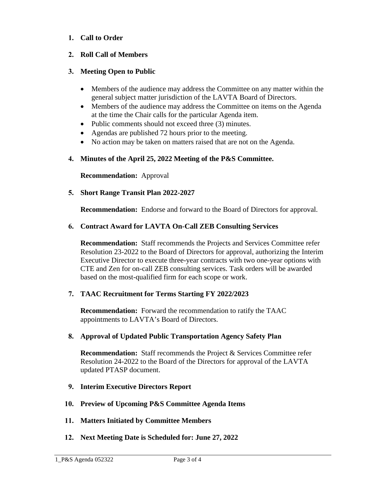# **1. Call to Order**

# **2. Roll Call of Members**

# **3. Meeting Open to Public**

- Members of the audience may address the Committee on any matter within the general subject matter jurisdiction of the LAVTA Board of Directors.
- Members of the audience may address the Committee on items on the Agenda at the time the Chair calls for the particular Agenda item.
- Public comments should not exceed three (3) minutes.
- Agendas are published 72 hours prior to the meeting.
- No action may be taken on matters raised that are not on the Agenda.

# **4. Minutes of the April 25, 2022 Meeting of the P&S Committee.**

**Recommendation:** Approval

**5. Short Range Transit Plan 2022-2027**

**Recommendation:** Endorse and forward to the Board of Directors for approval.

# **6. Contract Award for LAVTA On-Call ZEB Consulting Services**

**Recommendation:** Staff recommends the Projects and Services Committee refer Resolution 23-2022 to the Board of Directors for approval, authorizing the Interim Executive Director to execute three-year contracts with two one-year options with CTE and Zen for on-call ZEB consulting services. Task orders will be awarded based on the most-qualified firm for each scope or work.

# **7. TAAC Recruitment for Terms Starting FY 2022/2023**

**Recommendation:** Forward the recommendation to ratify the TAAC appointments to LAVTA's Board of Directors.

#### **8. Approval of Updated Public Transportation Agency Safety Plan**

**Recommendation:** Staff recommends the Project & Services Committee refer Resolution 24-2022 to the Board of the Directors for approval of the LAVTA updated PTASP document.

- **9. Interim Executive Directors Report**
- **10. Preview of Upcoming P&S Committee Agenda Items**
- **11. Matters Initiated by Committee Members**
- **12. Next Meeting Date is Scheduled for: June 27, 2022**